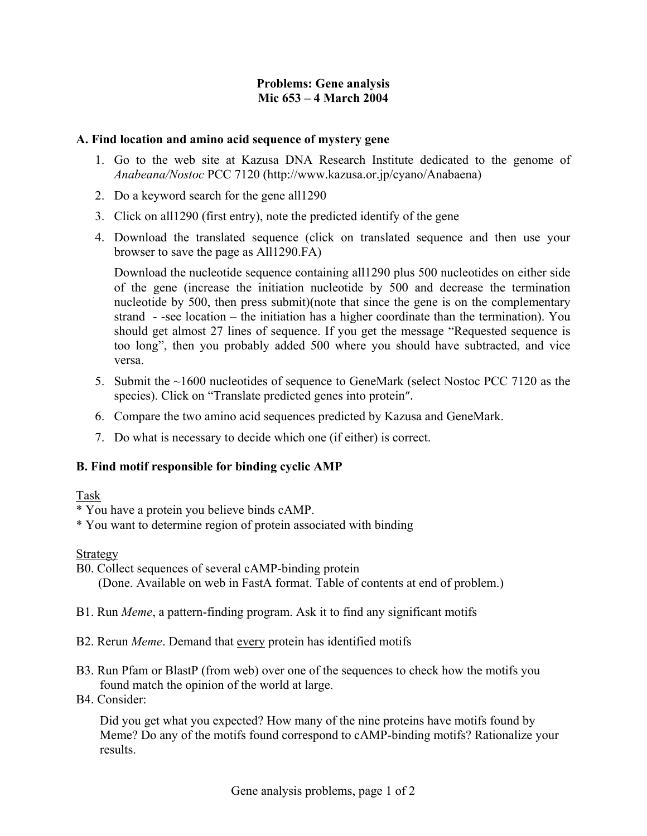# **Problems: Gene analysis Mic 653 – 4 March 2004**

#### **A. Find location and amino acid sequence of mystery gene**

- 1. Go to the web site at Kazusa DNA Research Institute dedicated to the genome of *Anabeana/Nostoc* PCC 7120 (http://www.kazusa.or.jp/cyano/Anabaena)
- 2. Do a keyword search for the gene all1290
- 3. Click on all1290 (first entry), note the predicted identify of the gene
- 4. Download the translated sequence (click on translated sequence and then use your browser to save the page as All1290.FA)

Download the nucleotide sequence containing all1290 plus 500 nucleotides on either side of the gene (increase the initiation nucleotide by 500 and decrease the termination nucleotide by 500, then press submit)(note that since the gene is on the complementary strand - -see location – the initiation has a higher coordinate than the termination). You should get almost 27 lines of sequence. If you get the message "Requested sequence is too long", then you probably added 500 where you should have subtracted, and vice versa.

- 5. Submit the ~1600 nucleotides of sequence to GeneMark (select Nostoc PCC 7120 as the species). Click on "Translate predicted genes into protein".
- 6. Compare the two amino acid sequences predicted by Kazusa and GeneMark.
- 7. Do what is necessary to decide which one (if either) is correct.

# **B. Find motif responsible for binding cyclic AMP**

# Task

- \* You have a protein you believe binds cAMP.
- \* You want to determine region of protein associated with binding

# Strategy

B0. Collect sequences of several cAMP-binding protein (Done. Available on web in FastA format. Table of contents at end of problem.)

- B1. Run *Meme*, a pattern-finding program. Ask it to find any significant motifs
- B2. Rerun *Meme*. Demand that every protein has identified motifs
- B3. Run Pfam or BlastP (from web) over one of the sequences to check how the motifs you found match the opinion of the world at large.
- B4. Consider:

Did you get what you expected? How many of the nine proteins have motifs found by Meme? Do any of the motifs found correspond to cAMP-binding motifs? Rationalize your results.